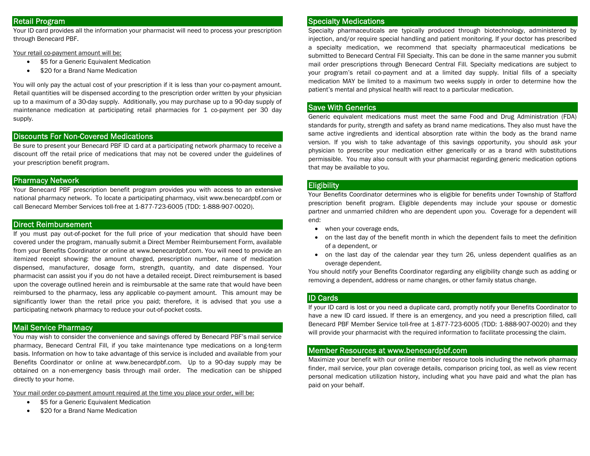# Retail Program

Your ID card provides all the information your pharmacist will need to process your prescription through Benecard PBF.

Your retail co-payment amount will be:

- $\bullet$ \$5 for a Generic Equivalent Medication
- $\bullet$ \$20 for a Brand Name Medication

You will only pay the actual cost of your prescription if it is less than your co-payment amount. Retail quantities will be dispensed according to the prescription order written by your physician up to a maximum of a 30-day supply. Additionally, you may purchase up to a 90-day supply of maintenance medication at participating retail pharmacies for 1 co-payment per 30 day supply.

# Discounts For Non-Covered Medications

Be sure to present your Benecard PBF ID card at a participating network pharmacy to receive a discount off the retail price of medications that may not be covered under the guidelines of your prescription benefit program.

#### Pharmacy Network

Your Benecard PBF prescription benefit program provides you with access to an extensive national pharmacy network. To locate a participating pharmacy, visit www.benecardpbf.com or call Benecard Member Services toll-free at 1-877-723-6005 (TDD: 1-888-907-0020).

### Direct Reimbursement

If you must pay out-of-pocket for the full price of your medication that should have been covered under the program, manually submit a Direct Member Reimbursement Form, available from your Benefits Coordinator or online at www.benecardpbf.com. You will need to provide an itemized receipt showing: the amount charged, prescription number, name of medication dispensed, manufacturer, dosage form, strength, quantity, and date dispensed. Your pharmacist can assist you if you do not have a detailed receipt. Direct reimbursement is based upon the coverage outlined herein and is reimbursable at the same rate that would have been reimbursed to the pharmacy, less any applicable co-payment amount. This amount may be significantly lower than the retail price you paid; therefore, it is advised that you use a participating network pharmacy to reduce your out-of-pocket costs.

# Mail Service Pharmacy

You may wish to consider the convenience and savings offered by Benecard PBF's mail service pharmacy, Benecard Central Fill, if you take maintenance type medications on a long-term basis. Information on how to take advantage of this service is included and available from your Benefits Coordinator or online at www.benecardpbf.com. Up to a 90-day supply may be obtained on a non-emergency basis through mail order. The medication can be shipped directly to your home.

Your mail order co-payment amount required at the time you place your order, will be:

- $\bullet$ \$5 for a Generic Equivalent Medication
- $\bullet$ \$20 for a Brand Name Medication

#### Specialty Medications

Specialty pharmaceuticals are typically produced through biotechnology, administered by injection, and/or require special handling and patient monitoring. If your doctor has prescribed a specialty medication, we recommend that specialty pharmaceutical medications be submitted to Benecard Central Fill Specialty. This can be done in the same manner you submit mail order prescriptions through Benecard Central Fill. Specialty medications are subject to your program's retail co-payment and at a limited day supply. Initial fills of a specialty medication MAY be limited to a maximum two weeks supply in order to determine how the patient's mental and physical health will react to a particular medication.

#### Save With Generics

Generic equivalent medications must meet the same Food and Drug Administration (FDA) standards for purity, strength and safety as brand name medications. They also must have the same active ingredients and identical absorption rate within the body as the brand name version. If you wish to take advantage of this savings opportunity, you should ask your physician to prescribe your medication either generically or as a brand with substitutions permissible. You may also consult with your pharmacist regarding generic medication options that may be available to you.

#### **Eligibility**

Your Benefits Coordinator determines who is eligible for benefits under Township of Stafford prescription benefit program. Eligible dependents may include your spouse or domestic partner and unmarried children who are dependent upon you. Coverage for a dependent will end:

- when your coverage ends,
- 0 on the last day of the benefit month in which the dependent fails to meet the definition of a dependent, or
- on the last day of the calendar year they turn 26, unless dependent qualifies as an overage dependent.

You should notify your Benefits Coordinator regarding any eligibility change such as adding or removing a dependent, address or name changes, or other family status change.

#### ID Cards

If your ID card is lost or you need a duplicate card, promptly notify your Benefits Coordinator to have a new ID card issued. If there is an emergency, and you need a prescription filled, call Benecard PBF Member Service toll-free at 1-877-723-6005 (TDD: 1-888-907-0020) and they will provide your pharmacist with the required information to facilitate processing the claim.

#### Member Resources at www.benecardpbf.com

Maximize your benefit with our online member resource tools including the network pharmacy finder, mail service, your plan coverage details, comparison pricing tool, as well as view recent personal medication utilization history, including what you have paid and what the plan has paid on your behalf.